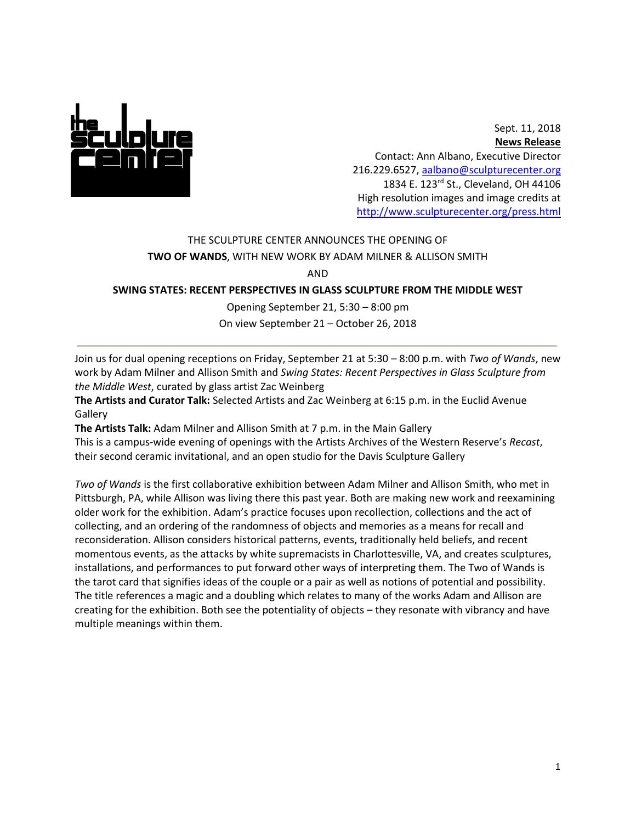

Sept. 11, 2018 **News Release** Contact: Ann Albano, Executive Director 216.229.6527, [aalbano@sculpturecenter.org](mailto:aalbano@sculpturecenter.org) 1834 E. 123rd St., Cleveland, OH 44106 High resolution images and image credits at <http://www.sculpturecenter.org/press.html>

## THE SCULPTURE CENTER ANNOUNCES THE OPENING OF **TWO OF WANDS**, WITH NEW WORK BY ADAM MILNER & ALLISON SMITH

AND

## **SWING STATES: RECENT PERSPECTIVES IN GLASS SCULPTURE FROM THE MIDDLE WEST**

Opening September 21, 5:30 – 8:00 pm On view September 21 – October 26, 2018

Join us for dual opening receptions on Friday, September 21 at 5:30 – 8:00 p.m. with *Two of Wands*, new work by Adam Milner and Allison Smith and *[Swing States: Recent Perspectives in Glass Sculpture from](http://sculpturecenter.org/swingstates/)  [the Middle West](http://sculpturecenter.org/swingstates/)*, curated by glass artist Zac Weinberg

**The Artists and Curator Talk:** Selected Artists and Zac Weinberg at 6:15 p.m. in the Euclid Avenue **Gallery** 

**The Artists Talk:** Adam Milner and Allison Smith at 7 p.m. in the Main Gallery

This is a campus-wide evening of openings with the Artists Archives of the Western Reserve's *Recast*, their second ceramic invitational, and an open studio for the Davis Sculpture Gallery

*Two of Wands* is the first collaborative exhibition between Adam Milner and Allison Smith, who met in Pittsburgh, PA, while Allison was living there this past year. Both are making new work and reexamining older work for the exhibition. Adam's practice focuses upon recollection, collections and the act of collecting, and an ordering of the randomness of objects and memories as a means for recall and reconsideration. Allison considers historical patterns, events, traditionally held beliefs, and recent momentous events, as the attacks by white supremacists in Charlottesville, VA, and creates sculptures, installations, and performances to put forward other ways of interpreting them. The Two of Wands is the tarot card that signifies ideas of the couple or a pair as well as notions of potential and possibility. The title references a magic and a doubling which relates to many of the works Adam and Allison are creating for the exhibition. Both see the potentiality of objects – they resonate with vibrancy and have multiple meanings within them.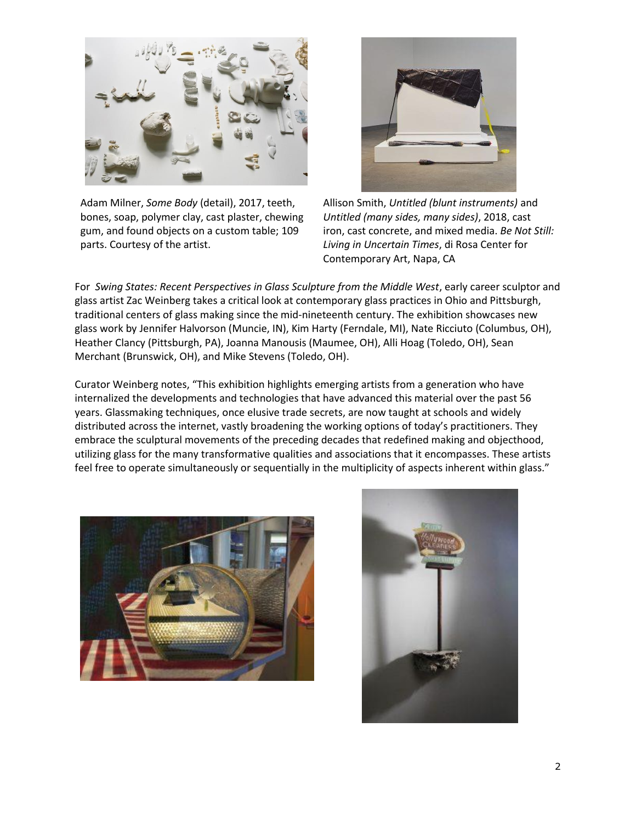

Adam Milner, *Some Body* (detail), 2017, teeth, bones, soap, polymer clay, cast plaster, chewing gum, and found objects on a custom table; 109 parts. Courtesy of the artist.



Allison Smith, *Untitled (blunt instruments)* and *Untitled (many sides, many sides)*, 2018, cast iron, cast concrete, and mixed media. *Be Not Still: Living in Uncertain Times*, di Rosa Center for Contemporary Art, Napa, CA

For *[Swing States: Recent Perspectives in Glass Sculpture from the Middle West](http://sculpturecenter.org/swingstates/)*, early career sculptor and glass artist Zac Weinberg takes a critical look at contemporary glass practices in Ohio and Pittsburgh, traditional centers of glass making since the mid-nineteenth century. The exhibition showcases new glass work by Jennifer Halvorson (Muncie, IN), Kim Harty (Ferndale, MI), Nate Ricciuto (Columbus, OH), Heather Clancy (Pittsburgh, PA), Joanna Manousis (Maumee, OH), Alli Hoag (Toledo, OH), Sean Merchant (Brunswick, OH), and Mike Stevens (Toledo, OH).

Curator Weinberg notes, "This exhibition highlights emerging artists from a generation who have internalized the developments and technologies that have advanced this material over the past 56 years. Glassmaking techniques, once elusive trade secrets, are now taught at schools and widely distributed across the internet, vastly broadening the working options of today's practitioners. They embrace the sculptural movements of the preceding decades that redefined making and objecthood, utilizing glass for the many transformative qualities and associations that it encompasses. These artists feel free to operate simultaneously or sequentially in the multiplicity of aspects inherent within glass."



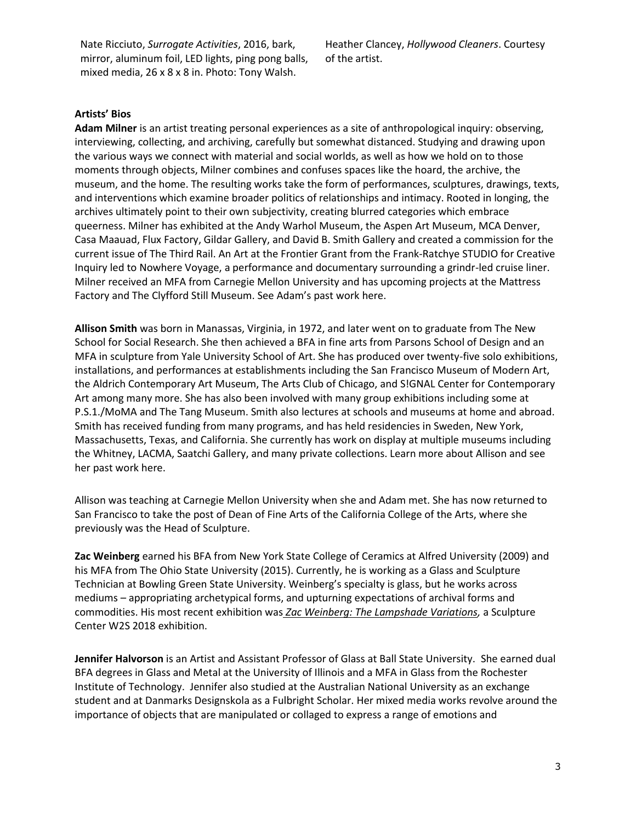Nate Ricciuto, *Surrogate Activities*, 2016, bark, mirror, aluminum foil, LED lights, ping pong balls, mixed media, 26 x 8 x 8 in. Photo: Tony Walsh.

Heather Clancey, *Hollywood Cleaners*. Courtesy of the artist.

#### **Artists' Bios**

**Adam Milner** is an artist treating personal experiences as a site of anthropological inquiry: observing, interviewing, collecting, and archiving, carefully but somewhat distanced. Studying and drawing upon the various ways we connect with material and social worlds, as well as how we hold on to those moments through objects, Milner combines and confuses spaces like the hoard, the archive, the museum, and the home. The resulting works take the form of performances, sculptures, drawings, texts, and interventions which examine broader politics of relationships and intimacy. Rooted in longing, the archives ultimately point to their own subjectivity, creating blurred categories which embrace queerness. Milner has exhibited at the Andy Warhol Museum, the Aspen Art Museum, MCA Denver, Casa Maauad, Flux Factory, Gildar Gallery, and David B. Smith Gallery and created a commission for the current issue of The Third Rail. An Art at the Frontier Grant from the Frank-Ratchye STUDIO for Creative Inquiry led to Nowhere Voyage, a performance and documentary surrounding a grindr-led cruise liner. Milner received an MFA from Carnegie Mellon University and has upcoming projects at the Mattress Factory and The Clyfford Still Museum. See Adam's past work [here.](https://adammilner.com/)

**Allison Smith** was born in Manassas, Virginia, in 1972, and later went on to graduate from The New School for Social Research. She then achieved a BFA in fine arts from Parsons School of Design and an MFA in sculpture from Yale University School of Art. She has produced over twenty-five solo exhibitions, installations, and performances at establishments including the San Francisco Museum of Modern Art, the Aldrich Contemporary Art Museum, The Arts Club of Chicago, and S!GNAL Center for Contemporary Art among many more. She has also been involved with many group exhibitions including some at P.S.1./MoMA and The Tang Museum. Smith also lectures at schools and museums at home and abroad. Smith has received funding from many programs, and has held residencies in Sweden, New York, Massachusetts, Texas, and California. She currently has work on display at multiple museums including the Whitney, LACMA, Saatchi Gallery, and many private collections. Learn more about Allison and see her past work [here.](https://www.allisonsmithstudio.com/)

Allison was teaching at Carnegie Mellon University when she and Adam met. She has now returned to San Francisco to take the post of Dean of Fine Arts of the California College of the Arts, where she previously was the Head of Sculpture.

**Zac Weinberg** earned his BFA from New York State College of Ceramics at Alfred University (2009) and his MFA from The Ohio State University (2015). Currently, he is working as a Glass and Sculpture Technician at Bowling Green State University. Weinberg's specialty is glass, but he works across mediums – appropriating archetypical forms, and upturning expectations of archival forms and commodities. His most recent exhibition was *[Zac Weinberg: The Lampshade Variations,](http://sculpturecenter.org/zac_weinberg_lampshade_variations/)* a Sculpture Center W2S 2018 exhibition.

**Jennifer Halvorson** is an Artist and Assistant Professor of Glass at Ball State University. She earned dual BFA degrees in Glass and Metal at the University of Illinois and a MFA in Glass from the Rochester Institute of Technology. Jennifer also studied at the Australian National University as an exchange student and at Danmarks Designskola as a Fulbright Scholar. Her mixed media works revolve around the importance of objects that are manipulated or collaged to express a range of emotions and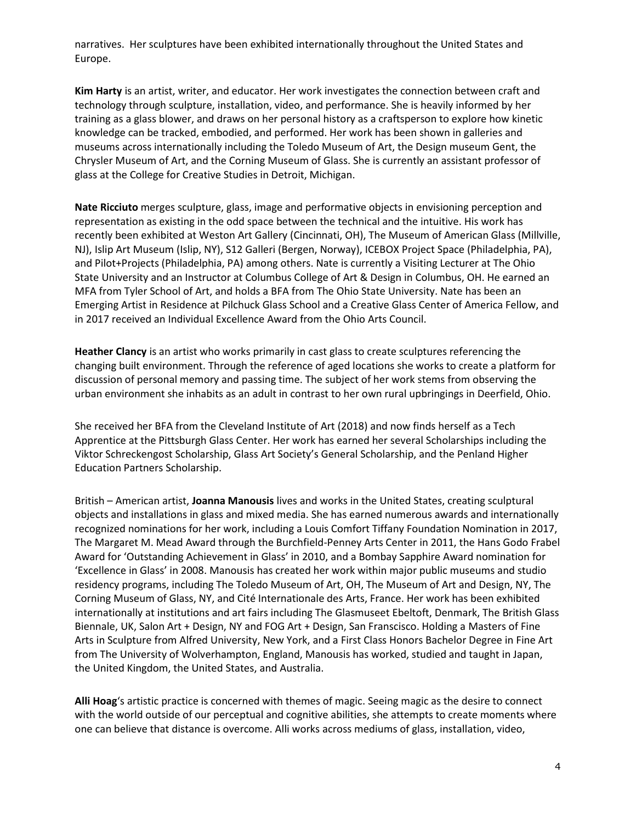narratives. Her sculptures have been exhibited internationally throughout the United States and Europe.

**[Kim Harty](http://kimharty.com/)** is an artist, writer, and educator. Her work investigates the connection between craft and technology through sculpture, installation, video, and performance. She is heavily informed by her training as a glass blower, and draws on her personal history as a craftsperson to explore how kinetic knowledge can be tracked, embodied, and performed. Her work has been shown in galleries and museums across internationally including the Toledo Museum of Art, the Design museum Gent, the Chrysler Museum of Art, and the Corning Museum of Glass. She is currently an assistant professor of glass at the College for Creative Studies in Detroit, Michigan.

**Nate Ricciuto** merges sculpture, glass, image and performative objects in envisioning perception and representation as existing in the odd space between the technical and the intuitive. His work has recently been exhibited at Weston Art Gallery (Cincinnati, OH), The Museum of American Glass (Millville, NJ), Islip Art Museum (Islip, NY), S12 Galleri (Bergen, Norway), ICEBOX Project Space (Philadelphia, PA), and Pilot+Projects (Philadelphia, PA) among others. Nate is currently a Visiting Lecturer at The Ohio State University and an Instructor at Columbus College of Art & Design in Columbus, OH. He earned an MFA from Tyler School of Art, and holds a BFA from The Ohio State University. Nate has been an Emerging Artist in Residence at Pilchuck Glass School and a Creative Glass Center of America Fellow, and in 2017 received an Individual Excellence Award from the Ohio Arts Council.

**Heather Clancy** is an artist who works primarily in cast glass to create sculptures referencing the changing built environment. Through the reference of aged locations she works to create a platform for discussion of personal memory and passing time. The subject of her work stems from observing the urban environment she inhabits as an adult in contrast to her own rural upbringings in Deerfield, Ohio.

She received her BFA from the Cleveland Institute of Art (2018) and now finds herself as a Tech Apprentice at the Pittsburgh Glass Center. Her work has earned her several Scholarships including the Viktor Schreckengost Scholarship, Glass Art Society's General Scholarship, and the Penland Higher Education Partners Scholarship.

British – American artist, **Joanna Manousis** lives and works in the United States, creating sculptural objects and installations in glass and mixed media. She has earned numerous awards and internationally recognized nominations for her work, including a Louis Comfort Tiffany Foundation Nomination in 2017, The Margaret M. Mead Award through the Burchfield-Penney Arts Center in 2011, the Hans Godo Frabel Award for 'Outstanding Achievement in Glass' in 2010, and a Bombay Sapphire Award nomination for 'Excellence in Glass' in 2008. Manousis has created her work within major public museums and studio residency programs, including The Toledo Museum of Art, OH, The Museum of Art and Design, NY, The Corning Museum of Glass, NY, and Cité Internationale des Arts, France. Her work has been exhibited internationally at institutions and art fairs including The Glasmuseet Ebeltoft, Denmark, The British Glass Biennale, UK, Salon Art + Design, NY and FOG Art + Design, San Franscisco. Holding a Masters of Fine Arts in Sculpture from Alfred University, New York, and a First Class Honors Bachelor Degree in Fine Art from The University of Wolverhampton, England, Manousis has worked, studied and taught in Japan, the United Kingdom, the United States, and Australia.

**Alli Hoag**'s artistic practice is concerned with themes of magic. Seeing magic as the desire to connect with the world outside of our perceptual and cognitive abilities, she attempts to create moments where one can believe that distance is overcome. Alli works across mediums of glass, installation, video,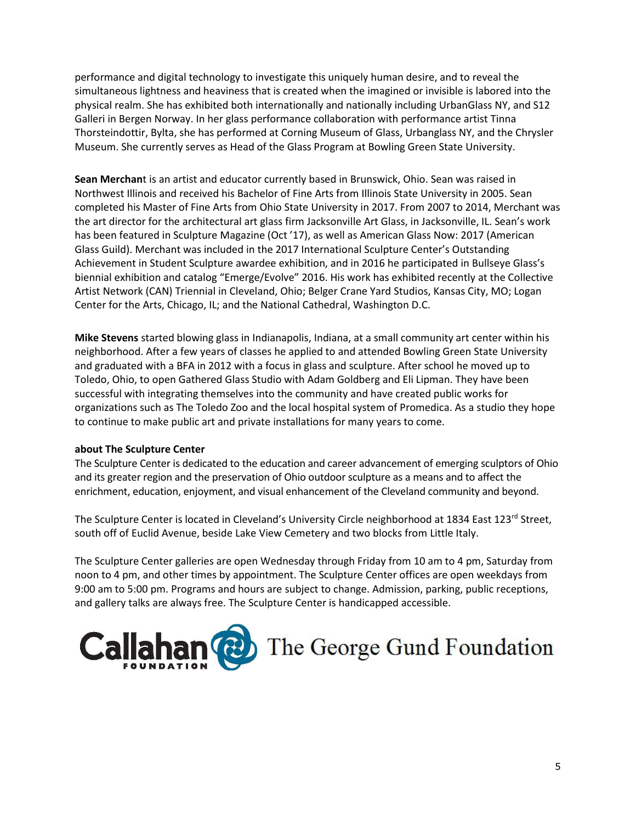performance and digital technology to investigate this uniquely human desire, and to reveal the simultaneous lightness and heaviness that is created when the imagined or invisible is labored into the physical realm. She has exhibited both internationally and nationally including UrbanGlass NY, and S12 Galleri in Bergen Norway. In her glass performance collaboration with performance artist Tinna Thorsteindottir, Bylta, she has performed at Corning Museum of Glass, Urbanglass NY, and the Chrysler Museum. She currently serves as Head of the Glass Program at Bowling Green State University.

**Sean Merchan**t is an artist and educator currently based in Brunswick, Ohio. Sean was raised in Northwest Illinois and received his Bachelor of Fine Arts from Illinois State University in 2005. Sean completed his Master of Fine Arts from Ohio State University in 2017. From 2007 to 2014, Merchant was the art director for the architectural art glass firm Jacksonville Art Glass, in Jacksonville, IL. Sean's work has been featured in Sculpture Magazine (Oct '17), as well as American Glass Now: 2017 (American Glass Guild). Merchant was included in the 2017 International Sculpture Center's Outstanding Achievement in Student Sculpture awardee exhibition, and in 2016 he participated in Bullseye Glass's biennial exhibition and catalog "Emerge/Evolve" 2016. His work has exhibited recently at the Collective Artist Network (CAN) Triennial in Cleveland, Ohio; Belger Crane Yard Studios, Kansas City, MO; Logan Center for the Arts, Chicago, IL; and the National Cathedral, Washington D.C.

**Mike Stevens** started blowing glass in Indianapolis, Indiana, at a small community art center within his neighborhood. After a few years of classes he applied to and attended Bowling Green State University and graduated with a BFA in 2012 with a focus in glass and sculpture. After school he moved up to Toledo, Ohio, to open Gathered Glass Studio with Adam Goldberg and Eli Lipman. They have been successful with integrating themselves into the community and have created public works for organizations such as The Toledo Zoo and the local hospital system of Promedica. As a studio they hope to continue to make public art and private installations for many years to come.

### **about The Sculpture Center**

The Sculpture Center is dedicated to the education and career advancement of emerging sculptors of Ohio and its greater region and the preservation of Ohio outdoor sculpture as a means and to affect the enrichment, education, enjoyment, and visual enhancement of the Cleveland community and beyond.

The Sculpture Center is located in Cleveland's University Circle neighborhood at 1834 East 123<sup>rd</sup> Street, south off of Euclid Avenue, beside Lake View Cemetery and two blocks from Little Italy.

The Sculpture Center galleries are open Wednesday through Friday from 10 am to 4 pm, Saturday from noon to 4 pm, and other times by appointment. The Sculpture Center offices are open weekdays from 9:00 am to 5:00 pm. Programs and hours are subject to change. Admission, parking, public receptions, and gallery talks are always free. The Sculpture Center is handicapped accessible.